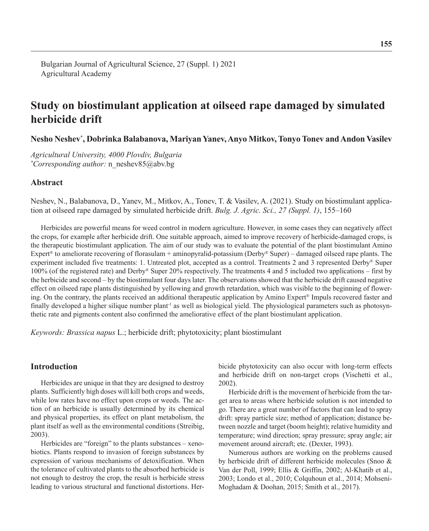# **Study on biostimulant application at oilseed rape damaged by simulated herbicide drift**

**Nesho Neshev\* , Dobrinka Balabanova, Mariyan Yanev, Anyo Mitkov, Tonyo Tonev and Andon Vasilev**

*Agricultural University, 4000 Plovdiv, Bulgaria \* Corresponding author:* n\_neshev85@abv.bg

# **Abstract**

Neshev, N., Balabanova, D., Yanev, M., Mitkov, A., Tonev, T. & Vasilev, A. (2021). Study on biostimulant application at oilseed rape damaged by simulated herbicide drift. *Bulg. J. Agric. Sci., 27 (Suppl. 1)*, 155–160

Herbicides are powerful means for weed control in modern agriculture. However, in some cases they can negatively affect the crops, for example after herbicide drift. One suitable approach, aimed to improve recovery of herbicide-damaged crops, is the therapeutic biostimulant application. The aim of our study was to evaluate the potential of the plant biostimulant Amino Expert<sup>®</sup> to ameliorate recovering of florasulam + aminopyralid-potassium (Derby<sup>®</sup> Super) – damaged oilseed rape plants. The experiment included five treatments: 1. Untreated plot, accepted as a control. Treatments 2 and 3 represented Derby® Super 100% (of the registered rate) and Derby® Super 20% respectively. The treatments 4 and 5 included two applications – first by the herbicide and second – by the biostimulant four days later. The observations showed that the herbicide drift caused negative effect on oilseed rape plants distinguished by yellowing and growth retardation, which was visible to the beginning of flowering. On the contrary, the plants received an additional therapeutic application by Amino Expert® Impuls recovered faster and finally developed a higher silique number plant<sup>1</sup> as well as biological yield. The physiological parameters such as photosynthetic rate and pigments content also confirmed the ameliorative effect of the plant biostimulant application.

*Keywords: Brassica napus* L.; herbicide drift; phytotoxicity; plant biostimulant

# **Introduction**

Herbicides are unique in that they are designed to destroy plants. Sufficiently high doses will kill both crops and weeds, while low rates have no effect upon crops or weeds. The action of an herbicide is usually determined by its chemical and physical properties, its effect on plant metabolism, the plant itself as well as the environmental conditions (Streibig, 2003).

Herbicides are "foreign" to the plants substances – xenobiotics. Plants respond to invasion of foreign substances by expression of various mechanisms of detoxification. When the tolerance of cultivated plants to the absorbed herbicide is not enough to destroy the crop, the result is herbicide stress leading to various structural and functional distortions. Herbicide phytotoxicity can also occur with long-term effects and herbicide drift on non-target crops (Vischetti et al., 2002).

Herbicide drift is the movement of herbicide from the target area to areas where herbicide solution is not intended to go. There are a great number of factors that can lead to spray drift: spray particle size; method of application; distance between nozzle and target (boom height); relative humidity and temperature; wind direction; spray pressure; spray angle; air movement around aircraft; etc. (Dexter, 1993).

Numerous authors are working on the problems caused by herbicide drift of different herbicide molecules (Snoo & Van der Poll, 1999; Ellis & Griffin, 2002; Al-Khatib et al., 2003; Londo et al., 2010; Colquhoun et al., 2014; Mohseni-Moghadam & Doohan, 2015; Smith et al., 2017).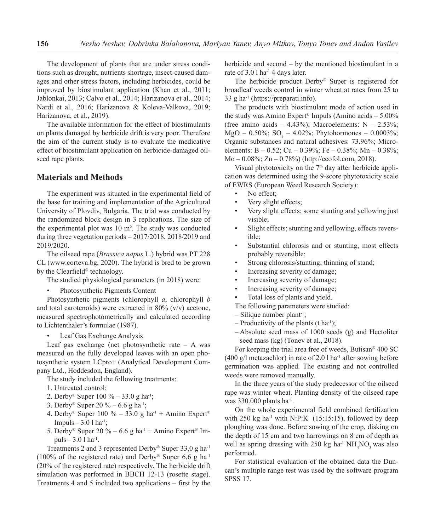The development of plants that are under stress conditions such as drought, nutrients shortage, insect-caused damages and other stress factors, including herbicides, could be improved by biostimulant application (Khan et al., 2011; Jablonkai, 2013; Calvo et al., 2014; Harizanova et al., 2014; Nardi et al., 2016; Harizanova & Koleva-Valkova, 2019; Harizanova, et al., 2019).

The available information for the effect of biostimulants on plants damaged by herbicide drift is very poor. Therefore the aim of the current study is to evaluate the medicative effect of biostimulant application on herbicide-damaged oilseed rape plants.

## **Materials and Methods**

The experiment was situated in the experimental field of the base for training and implementation of the Agricultural University of Plovdiv, Bulgaria. The trial was conducted by the randomized block design in 3 replications. The size of the experimental plot was 10 m². The study was conducted during three vegetation periods – 2017/2018, 2018/2019 and 2019/2020.

The oilseed rape (*Brassica napus* L.) hybrid was PT 228 CL (www.corteva.bg, 2020). The hybrid is bred to be grown by the Clearfield® technology.

The studied physiological parameters (in 2018) were:

• Photosynthetic Pigments Content

Photosynthetic pigments (chlorophyll *a*, chlorophyll *b*  and total carotenoids) were extracted in  $80\%$  (v/v) acetone, measured spectrophotometrically and calculated according to Lichtenthaler's formulae (1987).

Leaf Gas Exchange Analysis

Leaf gas exchange (net photosynthetic rate  $- A$  was measured on the fully developed leaves with an open photosynthetic system LCpro+ (Analytical Development Company Ltd., Hoddesdon, England).

The study included the following treatments:

- 1. Untreated control;
- 2. Derby<sup>®</sup> Super 100 % 33.0 g ha<sup>-1</sup>;
- 3. Derby<sup>®</sup> Super 20 % 6.6 g ha<sup>-1</sup>;
- 4. Derby<sup>®</sup> Super 100 % 33.0 g ha<sup>-1</sup> + Amino Expert<sup>®</sup> Impuls – 3.0 l ha-1;
- 5. Derby<sup>®</sup> Super 20 % 6.6 g ha<sup>-1</sup> + Amino Expert<sup>®</sup> Impuls –  $3.0$  l ha<sup>-1</sup>.

Treatments 2 and 3 represented Derby® Super 33,0 g ha<sup>-1</sup> (100% of the registered rate) and Derby<sup>®</sup> Super 6,6 g ha<sup>-1</sup> (20% of the registered rate) respectively. The herbicide drift simulation was performed in ВВСН 12-13 (rosette stage). Treatments 4 and 5 included two applications – first by the herbicide and second – by the mentioned biostimulant in a rate of 3.0 l ha-1 4 days later.

The herbicide product Derby® Super is registered for broadleaf weeds control in winter wheat at rates from 25 to 33 g ha<sup>-1</sup> (https://preparati.info).

The products with biostimulant mode of action used in the study was Amino Expert® Impuls (Amino acids – 5.00% (free amino acids – 4.43%); Macroelements:  $N - 2.53\%$ ;  $MgO - 0.50\%$ ; SO<sub>3</sub> – 4.02%; Phytohormones – 0.0003%; Organic substances and natural adhesives: 73.96%; Microelements: B – 0.52; Cu – 0.39%; Fe – 0.38%; Mn – 0.38%; Mo – 0.08%; Zn – 0.78%) (http://ecofol.com, 2018).

Visual phytotoxicity on the  $7<sup>th</sup>$  day after herbicide application was determined using the 9-score phytotoxicity scale of EWRS (European Weed Research Society):

- No effect;
- Very slight effects;
- Very slight effects; some stunting and yellowing just visible;
- Slight effects; stunting and yellowing, effects reversible;
- Substantial chlorosis and or stunting, most effects probably reversible;
- Strong chlorosis/stunting; thinning of stand;
- Increasing severity of damage;
- Increasing severity of damage;
- Increasing severity of damage;
- Total loss of plants and yield.
- The following parameters were studied:
- $-$  Silique number plant<sup>-1</sup>;
- Productivity of the plants (t ha<sup>-1</sup>);
- Absolute seed mass of 1000 seeds (g) and Hectoliter seed mass (kg) (Tonev et al., 2018).

For keeping the trial area free of weeds, Butisan® 400 SC (400 g/l metazachlor) in rate of 2.0 l ha<sup>-1</sup> after sowing before germination was applied. The existing and not controlled weeds were removed manually.

In the three years of the study predecessor of the oilseed rape was winter wheat. Planting density of the oilseed rape was  $330.000$  plants ha<sup>-1</sup>.

On the whole experimental field combined fertilization with  $250 \text{ kg}$  ha<sup>-1</sup> with N:P:K (15:15:15), followed by deep ploughing was done. Before sowing of the crop, disking on the depth of 15 cm and two harrowings on 8 cm of depth as well as spring dressing with 250 kg ha<sup>-1</sup>  $NH<sub>4</sub>NO<sub>3</sub>$  was also performed.

For statistical evaluation of the obtained data the Duncan's multiple range test was used by the software program SPSS 17.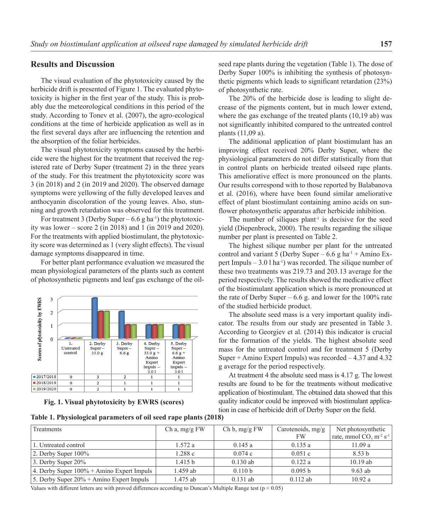## **Results and Discussion**

The visual evaluation of the phytotoxicity caused by the herbicide drift is presented of Figure 1. The evaluated phytotoxicity is higher in the first year of the study. This is probably due the meteorological conditions in this period of the study. According to Tonev et al. (2007), the agro-ecological conditions at the time of herbicide application as well as in the first several days after are influencing the retention and the absorption of the foliar herbicides.

The visual phytotoxicity symptoms caused by the herbicide were the highest for the treatment that received the registered rate of Derby Super (treatment 2) in the three years of the study. For this treatment the phytotoxicity score was 3 (in 2018) and 2 (in 2019 and 2020). The observed damage symptoms were yellowing of the fully developed leaves and anthocyanin discoloration of the young leaves. Also, stunning and growth retardation was observed for this treatment.

For treatment 3 (Derby Super –  $6.6$  g ha<sup>-1</sup>) the phytotoxicity was lower – score 2 (in 2018) and 1 (in 2019 and 2020). For the treatments with applied biostimulant, the phytotoxicity score was determined as 1 (very slight effects). The visual damage symptoms disappeared in time.

For better plant performance evaluation we measured the mean physiological parameters of the plants such as content of photosynthetic pigments and leaf gas exchange of the oil-



**Fig. 1. Visual phytotoxicity by EWRS (scores)**

| Table 1. Physiological parameters of oil seed rape plants (2018) |  |  |  |  |  |  |  |  |  |  |  |  |  |
|------------------------------------------------------------------|--|--|--|--|--|--|--|--|--|--|--|--|--|
|------------------------------------------------------------------|--|--|--|--|--|--|--|--|--|--|--|--|--|

seed rape plants during the vegetation (Table 1). The dose of Derby Super 100% is inhibiting the synthesis of photosynthetic pigments which leads to significant retardation (23%) of photosynthetic rate.

The 20% of the herbicide dose is leading to slight decrease of the pigments content, but in much lower extend, where the gas exchange of the treated plants (10,19 ab) was not significantly inhibited compared to the untreated control plants (11,09 a).

The additional application of plant biostimulant has an improving effect received 20% Derby Super, where the physiological parameters do not differ statistically from that in control plants on herbicide treated oilseed rape plants. This ameliorative effect is more pronounced on the plants. Our results correspond with to those reported by Balabanova et al. (2016), where have been found similar ameliorative effect of plant biostimulant containing amino acids on sunflower photosynthetic apparatus after herbicide inhibition.

The number of siliques plant<sup> $1$ </sup> is decisive for the seed yield (Diepenbrock, 2000). The results regarding the silique number per plant is presented on Table 2.

The highest silique number per plant for the untreated control and variant 5 (Derby Super –  $6.6$  g ha<sup>-1</sup> + Amino Expert Impuls –  $3.0$  l ha<sup>-1</sup>) was recorded. The silique number of these two treatments was 219.73 and 203.13 average for the period respectively. The results showed the medicative effect of the biostimulant application which is more pronounced at the rate of Derby Super  $-6.6$  g. and lower for the 100% rate of the studied herbicide product.

The absolute seed mass is a very important quality indicator. The results from our study are presented in Table 3. According to Georgiev et al. (2014) this indicator is crucial for the formation of the yields. The highest absolute seed mass for the untreated control and for treatment 5 (Derby Super + Amino Expert Impuls) was recorded – 4.37 and 4.32 g average for the period respectively.

At treatment 4 the absolute seed mass is 4.17 g. The lowest results are found to be for the treatments without medicative application of biostimulant. The obtained data showed that this quality indicator could be improved with biostimulant application in case of herbicide drift of Derby Super on the field.

| Treatments                                  | Ch a, $mg/g$ FW | Ch b, mg/g FW | Carotenoids, $mg/g$ | Net photosynthetic                               |
|---------------------------------------------|-----------------|---------------|---------------------|--------------------------------------------------|
|                                             |                 |               | <b>FW</b>           | rate, mmol $COs$ m <sup>-2</sup> s <sup>-1</sup> |
| 1. Untreated control                        | 1.572a          | 0.145a        | 0.135a              | 11.09a                                           |
| 2. Derby Super 100%                         | 1.288 c         | 0.074c        | 0.051c              | 8.53 <sub>b</sub>                                |
| 3. Derby Super 20%                          | 1.415 b         | $0.130$ ab    | 0.122a              | $10.19$ ab                                       |
| 4. Derby Super 100% + Amino Expert Impuls   | 1.459 ab        | 0.110 b       | 0.095 b             | $9.63$ ab                                        |
| 5. Derby Super $20\%$ + Amino Expert Impuls | 1.475 ab        | $0.131$ ab    | $0.112$ ab          | 10.92a                                           |

Values with different letters are with proved differences according to Duncan's Multiple Range test (p < 0.05)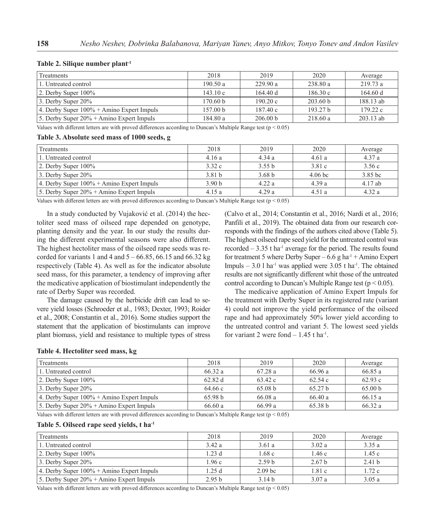| Treatments                                   | 2018     | 2019     | 2020                | Average     |
|----------------------------------------------|----------|----------|---------------------|-------------|
| 1. Untreated control                         | 190.50a  | 229.90a  | 238.80 a            | 219.73 a    |
| $\vert$ 2. Derby Super 100%                  | 143.10c  | 164.40 d | 186.30c             | 164.60 d    |
| 3. Derby Super $20\%$                        | 170.60 b | 190.20c  | 203.60 b            | 188.13 ab   |
| 4. Derby Super $100\%$ + Amino Expert Impuls | 157.00 b | 187.40c  | 193.27 <sub>b</sub> | 179.22c     |
| 5. Derby Super $20\%$ + Amino Expert Impuls  | 184.80a  | 206.00 b | 218.60a             | $203.13$ ab |

#### **Table 2. Silique number plant-1**

Values with different letters are with proved differences according to Duncan's Multiple Range test ( $p < 0.05$ )

#### **Table 3. Absolute seed mass of 1000 seeds, g**

| Treatments                                   | 2018              | 2019              | 2020      | Average   |
|----------------------------------------------|-------------------|-------------------|-----------|-----------|
| 1. Untreated control                         | 4.16a             | 4.34a             | 4.61a     | 4.37a     |
| $\vert$ 2. Derby Super $100\%$               | 3.32c             | 3.55 b            | 3.81c     | 3.56c     |
| 3. Derby Super $20\%$                        | 3.81 <sub>b</sub> | 3.68 <sub>b</sub> | $4.06$ bc | $3.85$ bc |
| 4. Derby Super $100\%$ + Amino Expert Impuls | 3.90 <sub>b</sub> | 4.22a             | 4.39a     | 4.17ab    |
| 5. Derby Super $20\%$ + Amino Expert Impuls  | 4.15a             | 4.29a             | 4.51a     | 4.32a     |

Values with different letters are with proved differences according to Duncan's Multiple Range test (p < 0.05)

In a study conducted by Vujaković et al. (2014) the hectoliter seed mass of oilseed rape depended on genotype, planting density and the year. In our study the results during the different experimental seasons were also different. The highest hectoliter mass of the oilseed rape seeds was recorded for variants 1 and 4 and  $5 - 66.85$ , 66.15 and 66.32 kg respectively (Table 4). As well as for the indicator absolute seed mass, for this parameter, a tendency of improving after the medicative application of biostimulant independently the rate of Derby Super was recorded.

The damage caused by the herbicide drift can lead to severe yield losses (Schroeder et al., 1983; Dexter, 1993; Roider et al., 2008; Constantin et al., 2016). Some studies support the statement that the application of biostimulants can improve plant biomass, yield and resistance to multiple types of stress

(Calvo et al., 2014; Constantin et al., 2016; Nardi et al., 2016; Panfili et al., 2019). The obtained data from our research corresponds with the findings of the authors cited above (Table 5). The highest oilseed rape seed yield for the untreated control was recorded  $-3.35$  t ha<sup>-1</sup> average for the period. The results found for treatment 5 where Derby Super –  $6.6$  g ha<sup>-1</sup> + Amino Expert Impuls – 3.0 l ha<sup>-1</sup> was applied were 3.05 t ha<sup>-1</sup>. The obtained results are not significantly different whit those of the untreated control according to Duncan's Multiple Range test ( $p < 0.05$ ).

The medicaive application of Amino Expert Impuls for the treatment with Derby Super in its registered rate (variant 4) could not improve the yield performance of the oilseed rape and had approximately 50% lower yield according to the untreated control and variant 5. The lowest seed yields for variant 2 were fond  $-1.45$  t ha<sup>-1</sup>.

#### **Table 4. Hectoliter seed mass, kg**

| Treatments                                   | 2018    | 2019               | 2020               | Average |
|----------------------------------------------|---------|--------------------|--------------------|---------|
| 1. Untreated control                         | 66.32a  | 67.28a             | 66.96 a            | 66.85a  |
| $\vert$ 2. Derby Super 100%                  | 62.82 d | 63.42c             | 62.54c             | 62.93c  |
| 3. Derby Super $20\%$                        | 64.66 c | 65.08 <sub>b</sub> | 65.27 <sub>b</sub> | 65.00 b |
| 4. Derby Super $100\%$ + Amino Expert Impuls | 65.98 b | 66.08a             | 66.40a             | 66.15a  |
| 5. Derby Super $20\%$ + Amino Expert Impuls  | 66.60a  | 66.99a             | 65.38 b            | 66.32a  |

Values with different letters are with proved differences according to Duncan's Multiple Range test (p < 0.05)

#### **Table 5. Oilseed rape seed yields, t ha-1**

| Treatments                                   | 2018              | 2019               | 2020              | Average           |
|----------------------------------------------|-------------------|--------------------|-------------------|-------------------|
| 1. Untreated control                         | 3.42a             | 3.61a              | 3.02a             | 3.35a             |
| $\vert$ 2. Derby Super 100%                  | 1.23d             | 1.68 c             | 1.46c             | 1.45c             |
| 3. Derby Super $20\%$                        | 1.96c             | 2.59 <sub>b</sub>  | 2.67 <sub>b</sub> | 2.41 <sub>b</sub> |
| 4. Derby Super $100\%$ + Amino Expert Impuls | 1.25d             | 2.09 <sub>bc</sub> | 1.81c             | 1.72c             |
| 5. Derby Super $20\%$ + Amino Expert Impuls  | 2.95 <sub>b</sub> | 3.14h              | 3.07a             | 3.05a             |

Values with different letters are with proved differences according to Duncan's Multiple Range test ( $p < 0.05$ )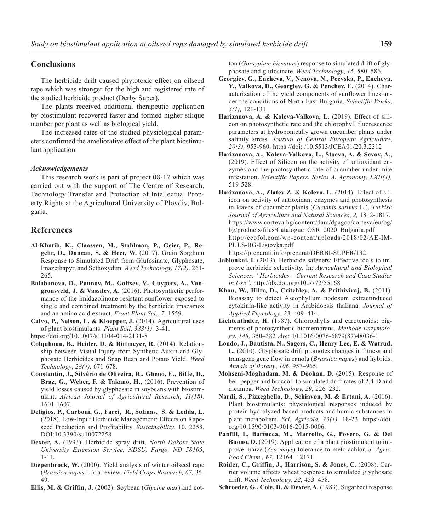# **Conclusions**

The herbicide drift caused phytotoxic effect on oilseed rape which was stronger for the high and registered rate of the studied herbicide product (Derby Super).

The plants received additional therapeutic application by biostimulant recovered faster and formed higher silique number per plant as well as biological yield.

The increased rates of the studied physiological parameters confirmed the ameliorative effect of the plant biostimulant application.

#### *Acknowledgements*

This research work is part of project 08-17 which was carried out with the support of The Centre of Research, Technology Transfer and Protection of Intellectual Property Rights at the Agricultural University of Plovdiv, Bulgaria.

## **References**

- **Al-Khatib, K., Claassen, M., Stahlman, P., Geier, P., Regehr, D., Duncan, S. & Heer, W.** (2017). Grain Sorghum Response to Simulated Drift from Glufosinate, Glyphosate, Imazethapyr, and Sethoxydim. *Weed Technology, 17(2),* 261- 265.
- **Balabanova, D., Paunov, M., Goltsev, V., Cuypers, A., Vangronsveld, J. & Vassilev, A.** (2016). Photosynthetic performance of the imidazolinone resistant sunflower exposed to single and combined treatment by the herbicide imazamox and an amino acid extract. *Front Plant Sci*., *7,* 1559.
- **Calvo, P., Nelson, L. & Kloepper, J.** (2014). Agricultural uses of plant biostimulants*. Plant Soil, 383(1),* 3-41. https://doi.org/10.1007/s11104-014-2131-8
- **Colquhoun, B., Heider, D. & Rittmeyer, R.** (2014). Relationship between Visual Injury from Synthetic Auxin and Glyphosate Herbicides and Snap Bean and Potato Yield. *Weed Technology*, *28(4),* 671-678.
- **Constantin, J., Silvério de Oliveira, R., Gheno, E., Biffe, D., Braz, G., Weber, F. & Takano, H.,** (2016). Prevention of yield losses caused by glyphosate in soybeans with biostimulant. *African Journal of Agricultural Research*, *11(18),* 1601-1607.
- **Deligios, P., Carboni, G., Farci, R., Solinas, S. & Ledda, L.** (2018). Low-Input Herbicide Management: Effects on Rapeseed Production and Profitability. *Sustainability*, 10. 2258. DOI:10.3390/su10072258
- **Dexter, A.** (1993). Herbicide spray drift. *North Dakota State University Extension Service, NDSU, Fargo, ND 58105*, 1-11.
- **Diepenbrock, W.** (2000). Yield analysis of winter oilseed rape (*Brassica napus* L.): a review. *Field Crops Research, 67,* 35- 49.
- **Ellis, M. & Griffin, J.** (2002). Soybean (*Glycine max*) and cot-

ton (*Gossypium hirsutum*) response to simulated drift of glyphosate and glufosinate. *Weed Technology*, *16,* 580–586.

- **Georgiev, G., Encheva, V., Nenova, N., Peevska, P., Encheva, Ү., Valkova, D., Georgiev, G. & Penchev, E.** (2014). Characterization of the yield components of sunflower lines under the conditions of North-East Bulgaria. *Scientific Works*, *3(1),* 121-131.
- **Harizanova, A. & Koleva-Valkova, L.** (2019). Effect of silicon on photosynthetic rate and the chlorophyll fluorescence parameters at hydroponically grown cucumber plants under salinity stress. *Journal of Central European Agriculture*, *20(3),* 953-960. https://doi: /10.5513/JCEA01/20.3.2312
- **Harizanova, A., Koleva-Valkova, L., Stoeva, A. & Sevov, A.,**  (2019). Effect of Silicon on the activity of antioxidant enzymes and the photosynthetic rate of cucumber under mite infestation. *Scientific Papers. Series A. Agronomy, LXII(1),* 519-528.
- **Harizanova, A., Zlatev Z. & Koleva, L.** (2014). Effect of silicon on activity of antioxidant enzymes and photosynthesis in leaves of cucumber plants (*Cucumis sativus* L.). *Turkish Journal of Agriculture and Natural Sciences*, *2,* 1812-1817. https://www.corteva.bg/content/dam/dpagco/corteva/eu/bg/ bg/products/files/Catalogue\_OSR\_2020\_Bulgaria.pdf http://ecofol.com/wp-content/uploads/2018/02/AE-IM-PULS-BG-Listovka.pdf
	- https://preparati.info/preparat/DERBI-SUPER/132
- **Jablonkai, I.** (2013). Herbicide safeners: Effective tools to improve herbicide selectivity. In: *Agricultural and Biological Sciences: "Herbicides – Current Research and Case Studies in Use".* http://dx.doi.org/10.5772/55168
- **Khan, W., Hiltz, D., Critchley, A. & Prithiviraj, B.** (2011). Bioassay to detect Ascophyllum nodosum extractinduced cytokinin-like activity in Arabidopsis thaliana. *Journal of Applied Phycology*, *23,* 409–414.
- **Lichtenthaler, H.** (1987). Chlorophylls and carotenoids: pigments of photosynthetic biomembrans. *Methods Enzymology*, *148,* 350–382 .doi: 10.1016/0076-6879(87)48036-1
- **Londo, J., Bautista, N., Sagers, C., Henry Lee, E. & Watrud, L.** (2010). Glyphosate drift promotes changes in fitness and transgene gene flow in canola (*Brassica napus*) and hybrids. *Annals of Botany*, *106*, 957–965.
- **Mohseni-Moghadam, M. & Doohan, D.** (2015). Response of bell pepper and broccoli to simulated drift rates of 2.4-D and dicamba. *Weed Technology, 29,* 226–232.
- **Nardi, S., Pizzeghello, D., Schiavon, M. & Ertani, A.** (2016). Plant biostimulants: physiological responses induced by protein hydrolyzed-based products and humic substances in plant metabolism. *Sci. Agricola, 73(1),* 18-23. https://doi. org/10.1590/0103-9016-2015-0006.
- **Panfili, I., Bartucca, M., Marrollo, G., Povero, G. & Del Buono, D.** (2019). Application of a plant piostimulant to improve maize (*Zea mays*) tolerance to metolachlor. *J. Agric. Food Chem., 67,* 12164−12171.
- **Roider, C., Griffin, J., Harrison, S. & Jones, C.** (2008). Carrier volume affects wheat response to simulated glyphosate drift. *Weed Technology, 22,* 453–458.
- **Schroeder, G., Cole, D. & Dexter, A.** (1983). Sugarbeet response